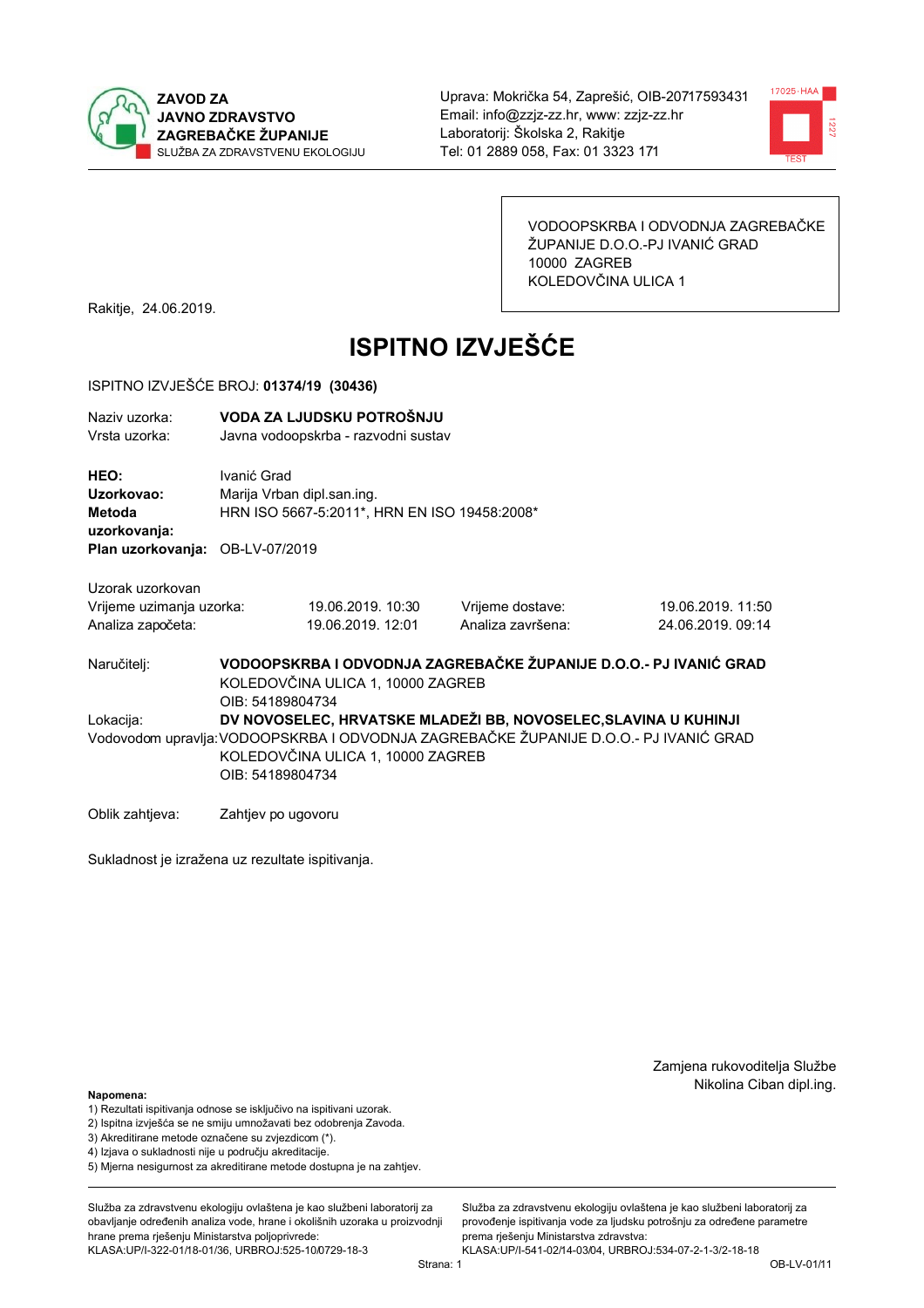



VODOOPSKRBA I ODVODNJA ZAGREBAČKE ŽUPANIJE D.O.O.-PJ IVANIĆ GRAD 10000 ZAGREB KOLEDOVČINA ULICA 1

Rakitje, 24.06.2019.

# **ISPITNO IZVJEŠĆE**

#### ISPITNO IZVJEŠĆE BROJ: 01374/19 (30436)

| Naziv uzorka:<br>Vrsta uzorka:                |                    | VODA ZA LJUDSKU POTROŠNJU<br>Javna vodoopskrba - razvodni sustav                                                                                                                                                  |                                                                   |                                        |  |  |
|-----------------------------------------------|--------------------|-------------------------------------------------------------------------------------------------------------------------------------------------------------------------------------------------------------------|-------------------------------------------------------------------|----------------------------------------|--|--|
| HEO:<br>Uzorkovao:<br>Metoda<br>uzorkovanja:  | Ivanić Grad        | Marija Vrban dipl.san.ing.<br>HRN ISO 5667-5:2011*, HRN EN ISO 19458:2008*                                                                                                                                        |                                                                   |                                        |  |  |
| Plan uzorkovanja: OB-LV-07/2019               |                    |                                                                                                                                                                                                                   |                                                                   |                                        |  |  |
| Uzorak uzorkovan                              |                    |                                                                                                                                                                                                                   |                                                                   |                                        |  |  |
| Vrijeme uzimanja uzorka:<br>Analiza započeta: |                    | 19.06.2019. 10:30<br>19.06.2019. 12:01                                                                                                                                                                            | Vrijeme dostave:<br>Analiza završena:                             | 19.06.2019. 11:50<br>24.06.2019. 09:14 |  |  |
| Naručitelj:                                   | OIB: 54189804734   | KOLEDOVČINA ULICA 1, 10000 ZAGREB                                                                                                                                                                                 | VODOOPSKRBA I ODVODNJA ZAGREBAČKE ŽUPANIJE D.O.O.- PJ IVANIĆ GRAD |                                        |  |  |
| Lokacija:                                     |                    | DV NOVOSELEC, HRVATSKE MLADEŽI BB, NOVOSELEC, SLAVINA U KUHINJI<br>Vodovodom upravlja: VODOOPSKRBA I ODVODNJA ZAGREBAČKE ŽUPANIJE D.O.O.- PJ IVANIĆ GRAD<br>KOLEDOVČINA ULICA 1, 10000 ZAGREB<br>OIB: 54189804734 |                                                                   |                                        |  |  |
| Oblik zahtjeva:                               | Zahtjev po ugovoru |                                                                                                                                                                                                                   |                                                                   |                                        |  |  |

Sukladnost je izražena uz rezultate ispitivanja.

Zamjena rukovoditelja Službe Nikolina Ciban dipl.ing.

Napomena:

- 1) Rezultati ispitivanja odnose se isključivo na ispitivani uzorak.
- 2) Ispitna izvješća se ne smiju umnožavati bez odobrenja Zavoda.
- 3) Akreditirane metode označene su zvjezdicom (\*).
- 4) Iziava o sukladnosti nije u područiu akreditacije.
- 5) Mjerna nesigurnost za akreditirane metode dostupna je na zahtjev.

Služba za zdravstvenu ekologiju ovlaštena je kao službeni laboratorij za obavlianie određenih analiza vode, hrane i okolišnih uzoraka u proizvodniji hrane prema rješenju Ministarstva poljoprivrede: KLASA:UP/I-322-01/18-01/36, URBROJ:525-10/0729-18-3

Služba za zdravstvenu ekologiju ovlaštena je kao službeni laboratorij za provođenje ispitivanja vode za ljudsku potrošnju za određene parametre prema rješenju Ministarstva zdravstva: KLASA:UP/I-541-02/14-03/04, URBROJ:534-07-2-1-3/2-18-18

Strana: 1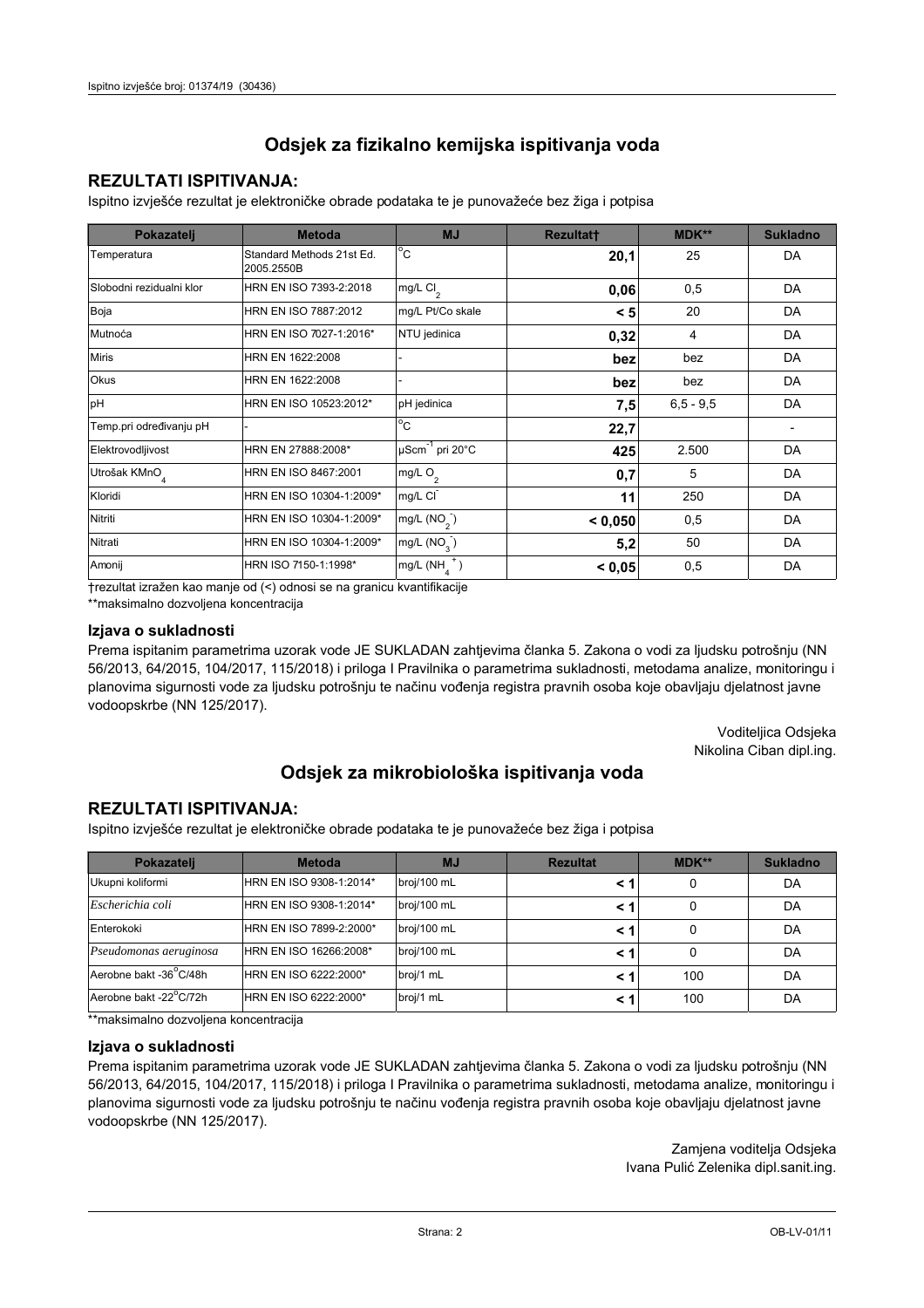### **REZULTATI ISPITIVANJA:**

Ispitno izviešće rezultat je elektroničke obrade podataka te je punovažeće bez žiga i potpisa

| Pokazatelj                | <b>Metoda</b>                           | <b>MJ</b>               | <b>Rezultatt</b> | <b>MDK**</b>  | <b>Sukladno</b> |
|---------------------------|-----------------------------------------|-------------------------|------------------|---------------|-----------------|
| Temperatura               | Standard Methods 21st Ed.<br>2005.2550B | $^{\circ}$ C            | 20,1             | 25            | DA              |
| Slobodni rezidualni klor  | HRN EN ISO 7393-2:2018                  | mg/L $Cl2$              | 0,06             | 0,5           | DA              |
| Boja                      | HRN EN ISO 7887:2012                    | mg/L Pt/Co skale        | < 5              | 20            | DA              |
| Mutnoća                   | HRN EN ISO 7027-1:2016*                 | NTU jedinica            | 0,32             | 4             | DA              |
| <b>Miris</b>              | HRN EN 1622:2008                        |                         | bez              | bez           | DA              |
| Okus                      | HRN EN 1622:2008                        |                         | bez              | bez           | DA              |
| pH                        | HRN EN ISO 10523:2012*                  | pH jedinica             | 7,5              | $6, 5 - 9, 5$ | DA              |
| Temp.pri određivanju pH   |                                         | $^{\circ}$ C            | 22,7             |               |                 |
| Elektrovodljivost         | HRN EN 27888:2008*                      | µScm-1 pri 20°C         | 425              | 2.500         | DA              |
| Utrošak KMnO <sub>4</sub> | HRN EN ISO 8467:2001                    | mg/L O <sub>2</sub>     | 0,7              | 5             | DA              |
| Kloridi                   | HRN EN ISO 10304-1:2009*                | mg/L CI                 | 11               | 250           | DA              |
| Nitriti                   | HRN EN ISO 10304-1:2009*                | mg/L (NO <sub>2</sub> ) | < 0.050          | 0,5           | DA              |
| Nitrati                   | HRN EN ISO 10304-1:2009*                | mg/L (NO <sub>3</sub> ) | 5,2              | 50            | DA              |
| Amonij                    | HRN ISO 7150-1:1998*                    | mg/L (NH                | < 0,05           | 0,5           | DA              |

trezultat izražen kao manje od (<) odnosi se na granicu kvantifikacije

\*\*maksimalno dozvoljena koncentracija

### Izjava o sukladnosti

Prema ispitanim parametrima uzorak vode JE SUKLADAN zahtievima članka 5. Zakona o vodi za ljudsku potrošnju (NN 56/2013, 64/2015, 104/2017, 115/2018) i priloga I Pravilnika o parametrima sukladnosti, metodama analize, monitoringu i planovima sigurnosti vode za ljudsku potrošnju te načinu vođenja registra pravnih osoba koje obavljaju djelatnost javne vodoopskrbe (NN 125/2017).

> Voditeljica Odsjeka Nikolina Ciban dipl.ing.

## Odsjek za mikrobiološka ispitivanja voda

### **REZULTATI ISPITIVANJA:**

Ispitno izvješće rezultat je elektroničke obrade podataka te je punovažeće bez žiga i potpisa

| Pokazatelj             | <b>Metoda</b>           | <b>MJ</b>   | <b>Rezultat</b> | <b>MDK**</b> | <b>Sukladno</b> |
|------------------------|-------------------------|-------------|-----------------|--------------|-----------------|
| Ukupni koliformi       | HRN EN ISO 9308-1:2014* | broj/100 mL |                 |              | DA              |
| Escherichia coli       | HRN EN ISO 9308-1:2014* | broj/100 mL | < 1             |              | DA              |
| Enterokoki             | HRN EN ISO 7899-2:2000* | broj/100 mL | < '             |              | DA              |
| Pseudomonas aeruginosa | HRN EN ISO 16266:2008*  | broj/100 mL | < 1             | 0            | DA              |
| Aerobne bakt -36°C/48h | HRN EN ISO 6222:2000*   | broj/1 mL   |                 | 100          | DA              |
| Aerobne bakt -22°C/72h | HRN EN ISO 6222:2000*   | broj/1 mL   | < 1             | 100          | DA              |

\*\*maksimalno dozvoljena koncentracija

### Izjava o sukladnosti

Prema ispitanim parametrima uzorak vode JE SUKLADAN zahtjevima članka 5. Zakona o vodi za ljudsku potrošnju (NN 56/2013, 64/2015, 104/2017, 115/2018) i priloga I Pravilnika o parametrima sukladnosti, metodama analize, monitoringu i planovima sigurnosti vode za ljudsku potrošnju te načinu vođenja registra pravnih osoba koje obavljaju djelatnost javne vodoopskrbe (NN 125/2017).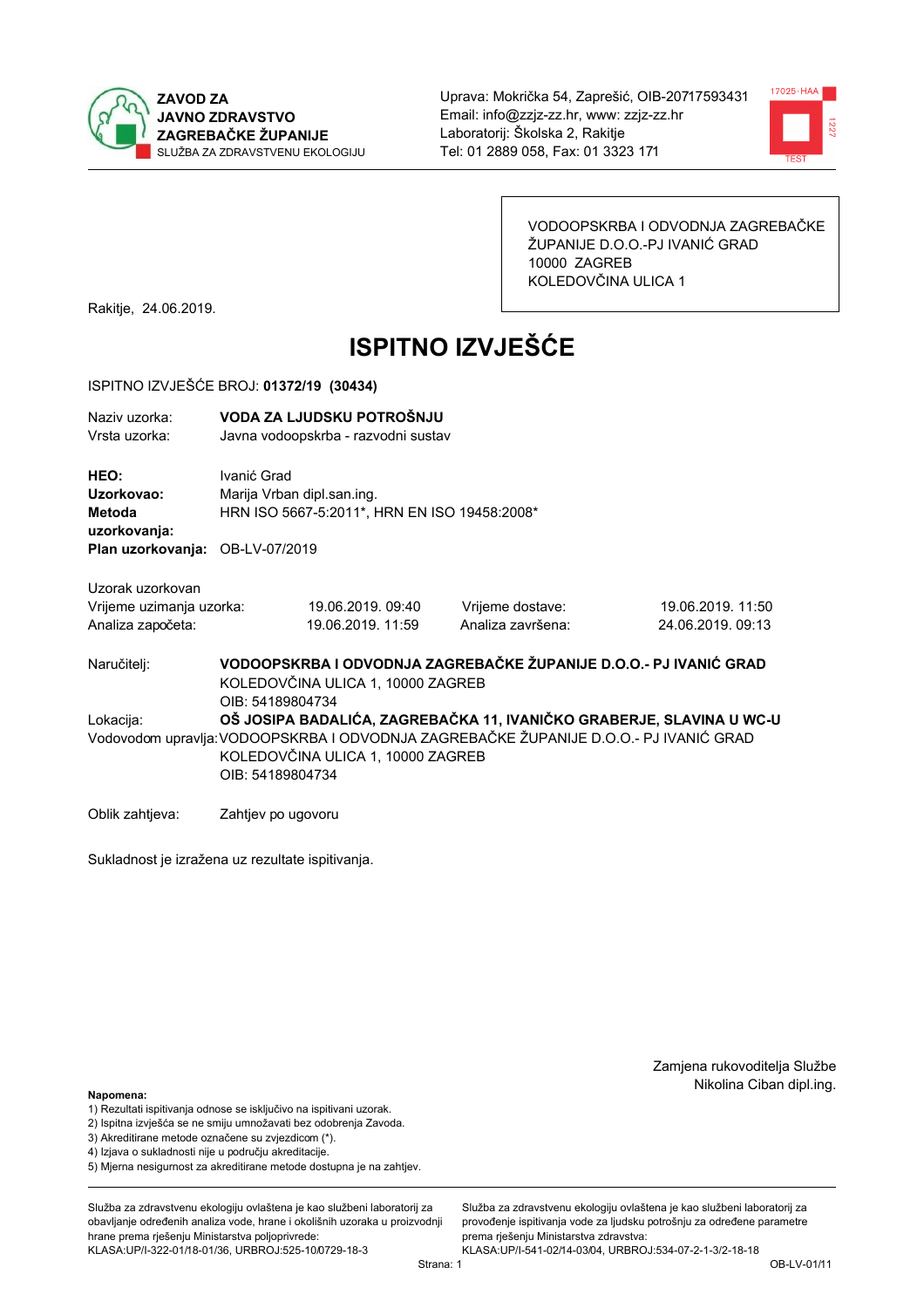



VODOOPSKRBA I ODVODNJA ZAGREBAČKE ŽUPANIJE D.O.O.-PJ IVANIĆ GRAD 10000 ZAGREB KOLEDOVČINA ULICA 1

Rakitje, 24.06.2019.

# **ISPITNO IZVJEŠĆE**

#### ISPITNO IZVJEŠĆE BROJ: 01372/19 (30434)

| Naziv uzorka:<br>Vrsta uzorka:                                    |                                                                                                                                                                                                                        | VODA ZA LJUDSKU POTROŠNJU<br>Javna vodoopskrba - razvodni sustav                            |                                                                   |                                        |  |
|-------------------------------------------------------------------|------------------------------------------------------------------------------------------------------------------------------------------------------------------------------------------------------------------------|---------------------------------------------------------------------------------------------|-------------------------------------------------------------------|----------------------------------------|--|
| HEO:<br>Uzorkovao:<br>Metoda<br>uzorkovanja:<br>Plan uzorkovanja: | Ivanić Grad                                                                                                                                                                                                            | Marija Vrban dipl.san.ing.<br>HRN ISO 5667-5:2011*, HRN EN ISO 19458:2008*<br>OB-LV-07/2019 |                                                                   |                                        |  |
| Uzorak uzorkovan<br>Vrijeme uzimanja uzorka:<br>Analiza započeta: |                                                                                                                                                                                                                        | 19.06.2019.09:40<br>19.06.2019. 11:59                                                       | Vrijeme dostave:<br>Analiza završena:                             | 19.06.2019. 11:50<br>24.06.2019. 09:13 |  |
| Naručitelj:                                                       | OIB: 54189804734                                                                                                                                                                                                       | KOLEDOVČINA ULICA 1, 10000 ZAGREB                                                           | VODOOPSKRBA I ODVODNJA ZAGREBAČKE ŽUPANIJE D.O.O.- PJ IVANIĆ GRAD |                                        |  |
| Lokacija:                                                         | OŠ JOSIPA BADALIĆA, ZAGREBAČKA 11, IVANIČKO GRABERJE, SLAVINA U WC-U<br>Vodovodom upravlja: VODOOPSKRBA I ODVODNJA ZAGREBAČKE ŽUPANIJE D.O.O.- PJ IVANIĆ GRAD<br>KOLEDOVČINA ULICA 1, 10000 ZAGREB<br>OIB: 54189804734 |                                                                                             |                                                                   |                                        |  |
| Oblik zahtjeva:                                                   | Zahtjev po ugovoru                                                                                                                                                                                                     |                                                                                             |                                                                   |                                        |  |

Sukladnost je izražena uz rezultate ispitivanja.

Zamjena rukovoditelja Službe Nikolina Ciban dipl.ing.

Napomena:

- 1) Rezultati ispitivanja odnose se isključivo na ispitivani uzorak.
- 2) Ispitna izvješća se ne smiju umnožavati bez odobrenja Zavoda.

3) Akreditirane metode označene su zvjezdicom (\*).

4) Iziava o sukladnosti nije u područiu akreditacije.

5) Mjerna nesigurnost za akreditirane metode dostupna je na zahtjev.

Služba za zdravstvenu ekologiju ovlaštena je kao službeni laboratorij za obavlianie određenih analiza vode, hrane i okolišnih uzoraka u proizvodniji hrane prema rješenju Ministarstva poljoprivrede: KLASA:UP/I-322-01/18-01/36, URBROJ:525-10/0729-18-3

Služba za zdravstvenu ekologiju ovlaštena je kao službeni laboratorij za provođenje ispitivanja vode za ljudsku potrošnju za određene parametre prema rješenju Ministarstva zdravstva: KLASA:UP/I-541-02/14-03/04, URBROJ:534-07-2-1-3/2-18-18

Strana: 1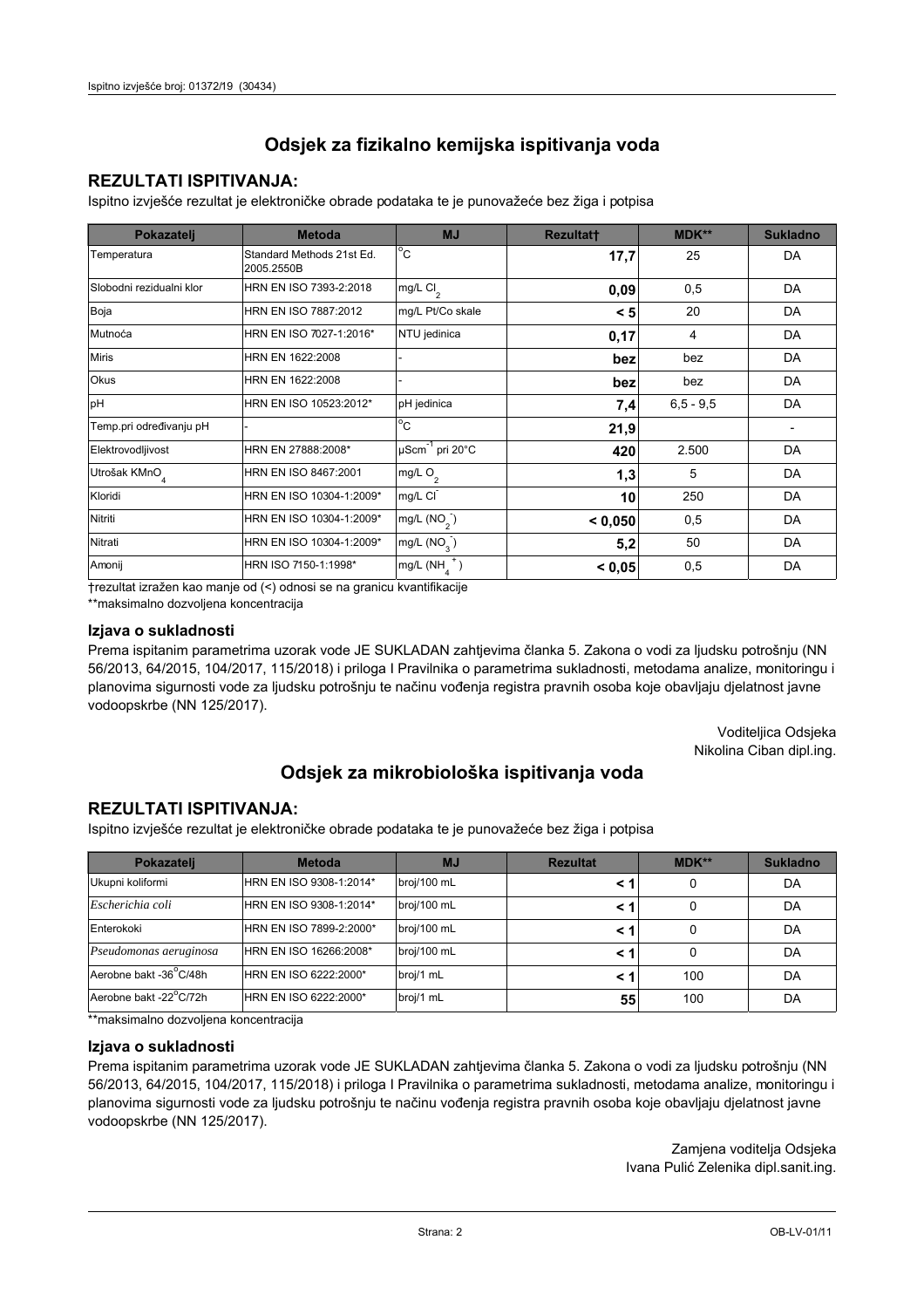### **REZULTATI ISPITIVANJA:**

Ispitno izviešće rezultat je elektroničke obrade podataka te je punovažeće bez žiga i potpisa

| Pokazatelj                | <b>Metoda</b>                           | <b>MJ</b>                   | <b>Rezultatt</b> | <b>MDK**</b>  | <b>Sukladno</b> |
|---------------------------|-----------------------------------------|-----------------------------|------------------|---------------|-----------------|
| Temperatura               | Standard Methods 21st Ed.<br>2005.2550B | $^{\circ}$ C                | 17,7             | 25            | DA              |
| Slobodni rezidualni klor  | HRN EN ISO 7393-2:2018                  | $mg/L$ Cl <sub>2</sub>      | 0,09             | 0,5           | DA              |
| Boja                      | HRN EN ISO 7887:2012                    | mg/L Pt/Co skale            | < 5              | 20            | DA              |
| Mutnoća                   | HRN EN ISO 7027-1:2016*                 | NTU jedinica                | 0,17             | 4             | DA              |
| <b>Miris</b>              | HRN EN 1622:2008                        |                             | bez              | bez           | DA              |
| <b>Okus</b>               | HRN EN 1622:2008                        |                             | bez              | bez           | DA              |
| pH                        | HRN EN ISO 10523:2012*                  | pH jedinica                 | 7,4              | $6, 5 - 9, 5$ | DA              |
| Temp.pri određivanju pH   |                                         | $^{\circ}$ C                | 21,9             |               |                 |
| Elektrovodljivost         | HRN EN 27888:2008*                      | µScm <sup>-1</sup> pri 20°C | 420              | 2.500         | DA              |
| Utrošak KMnO <sub>4</sub> | HRN EN ISO 8467:2001                    | mg/L $O_2$                  | 1,3              | 5             | DA              |
| Kloridi                   | HRN EN ISO 10304-1:2009*                | mg/L CI                     | 10               | 250           | DA              |
| Nitriti                   | HRN EN ISO 10304-1:2009*                | mg/L $(NO2)$                | < 0,050          | 0,5           | DA              |
| Nitrati                   | HRN EN ISO 10304-1:2009*                | mg/L $(NO3)$                | 5,2              | 50            | DA              |
| Amonij                    | HRN ISO 7150-1:1998*                    | mg/L (NH                    | < 0,05           | 0,5           | DA              |

trezultat izražen kao manje od (<) odnosi se na granicu kvantifikacije

\*\*maksimalno dozvoljena koncentracija

### Izjava o sukladnosti

Prema ispitanim parametrima uzorak vode JE SUKLADAN zahtievima članka 5. Zakona o vodi za ljudsku potrošnju (NN 56/2013, 64/2015, 104/2017, 115/2018) i priloga I Pravilnika o parametrima sukladnosti, metodama analize, monitoringu i planovima sigurnosti vode za ljudsku potrošnju te načinu vođenja registra pravnih osoba koje obavljaju djelatnost javne vodoopskrbe (NN 125/2017).

> Voditeljica Odsjeka Nikolina Ciban dipl.ing.

## Odsjek za mikrobiološka ispitivanja voda

### **REZULTATI ISPITIVANJA:**

Ispitno izvješće rezultat je elektroničke obrade podataka te je punovažeće bez žiga i potpisa

| Pokazatelj             | <b>Metoda</b>           | <b>MJ</b>   | <b>Rezultat</b> | <b>MDK**</b> | <b>Sukladno</b> |
|------------------------|-------------------------|-------------|-----------------|--------------|-----------------|
| Ukupni koliformi       | HRN EN ISO 9308-1:2014* | broj/100 mL |                 |              | DA              |
| Escherichia coli       | HRN EN ISO 9308-1:2014* | broj/100 mL | < 1             |              | DA              |
| Enterokoki             | HRN EN ISO 7899-2:2000* | broj/100 mL | < '             |              | DA              |
| Pseudomonas aeruginosa | HRN EN ISO 16266:2008*  | broj/100 mL | < 1             | 0            | DA              |
| Aerobne bakt -36°C/48h | HRN EN ISO 6222:2000*   | broj/1 mL   |                 | 100          | DA              |
| Aerobne bakt -22°C/72h | HRN EN ISO 6222:2000*   | broj/1 mL   | 55              | 100          | DA              |

\*\*maksimalno dozvoljena koncentracija

### Izjava o sukladnosti

Prema ispitanim parametrima uzorak vode JE SUKLADAN zahtjevima članka 5. Zakona o vodi za ljudsku potrošnju (NN 56/2013, 64/2015, 104/2017, 115/2018) i priloga I Pravilnika o parametrima sukladnosti, metodama analize, monitoringu i planovima sigurnosti vode za ljudsku potrošnju te načinu vođenja registra pravnih osoba koje obavljaju djelatnost javne vodoopskrbe (NN 125/2017).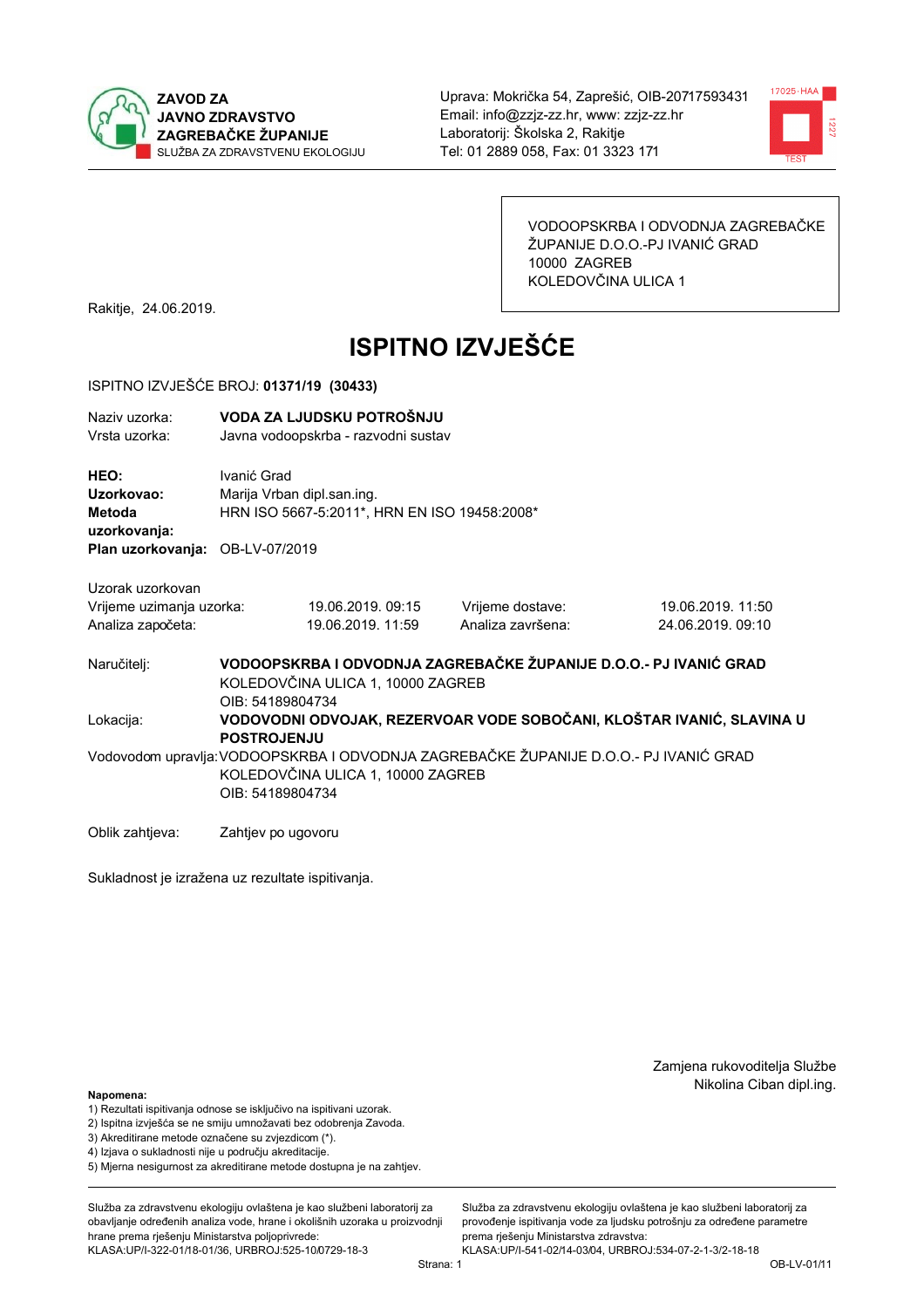



VODOOPSKRBA I ODVODNJA ZAGREBAČKE ŽUPANIJE D.O.O.-PJ IVANIĆ GRAD 10000 ZAGREB KOLEDOVČINA ULICA 1

Rakitje, 24.06.2019.

# **ISPITNO IZVJEŠĆE**

### ISPITNO IZVJEŠĆE BROJ: 01371/19 (30433)

| Naziv uzorka:<br>Vrsta uzorka:                                    | VODA ZA LJUDSKU POTROŠNJU<br>Javna vodoopskrba - razvodni sustav |                                                                            |                                                                                       |                                                                       |  |  |
|-------------------------------------------------------------------|------------------------------------------------------------------|----------------------------------------------------------------------------|---------------------------------------------------------------------------------------|-----------------------------------------------------------------------|--|--|
| HEO:<br>Uzorkovao:<br><b>Metoda</b><br>uzorkovanja:               | Ivanić Grad                                                      | Marija Vrban dipl.san.ing.<br>HRN ISO 5667-5:2011*, HRN EN ISO 19458:2008* |                                                                                       |                                                                       |  |  |
| Plan uzorkovanja: OB-LV-07/2019                                   |                                                                  |                                                                            |                                                                                       |                                                                       |  |  |
| Uzorak uzorkovan<br>Vrijeme uzimanja uzorka:<br>Analiza započeta: |                                                                  | 19.06.2019. 09:15<br>19.06.2019. 11:59                                     | Vrijeme dostave:<br>Analiza završena:                                                 | 19.06.2019. 11:50<br>24.06.2019.09:10                                 |  |  |
| Naručitelj:                                                       | OIB: 54189804734                                                 | KOLEDOVČINA ULICA 1, 10000 ZAGREB                                          |                                                                                       | VODOOPSKRBA I ODVODNJA ZAGREBAČKE ŽUPANIJE D.O.O.- PJ IVANIĆ GRAD     |  |  |
| Lokacija:                                                         | <b>POSTROJENJU</b>                                               |                                                                            |                                                                                       | VODOVODNI ODVOJAK, REZERVOAR VODE SOBOČANI, KLOŠTAR IVANIĆ, SLAVINA U |  |  |
|                                                                   | OIB: 54189804734                                                 | KOLEDOVČINA ULICA 1, 10000 ZAGREB                                          | Vodovodom upravlja: VODOOPSKRBA I ODVODNJA ZAGREBAČKE ŽUPANIJE D.O.O.- PJ IVANIĆ GRAD |                                                                       |  |  |
| Oblik zahtjeva:                                                   | Zahtjev po ugovoru                                               |                                                                            |                                                                                       |                                                                       |  |  |

Sukladnost je izražena uz rezultate ispitivanja.

Zamjena rukovoditelja Službe Nikolina Ciban dipl.ing.

Napomena:

- 1) Rezultati ispitivanja odnose se isključivo na ispitivani uzorak.
- 2) Ispitna izvješća se ne smiju umnožavati bez odobrenja Zavoda.

3) Akreditirane metode označene su zvjezdicom (\*).

4) Iziava o sukladnosti nije u područiu akreditacije.

5) Mjerna nesigurnost za akreditirane metode dostupna je na zahtjev.

Služba za zdravstvenu ekologiju ovlaštena je kao službeni laboratorij za obavlianie određenih analiza vode, hrane i okolišnih uzoraka u proizvodniji hrane prema rješenju Ministarstva poljoprivrede: KLASA:UP/I-322-01/18-01/36, URBROJ:525-10/0729-18-3

Služba za zdravstvenu ekologiju ovlaštena je kao službeni laboratorij za provođenje ispitivanja vode za ljudsku potrošnju za određene parametre prema rješenju Ministarstva zdravstva: KLASA:UP/I-541-02/14-03/04, URBROJ:534-07-2-1-3/2-18-18

Strana: 1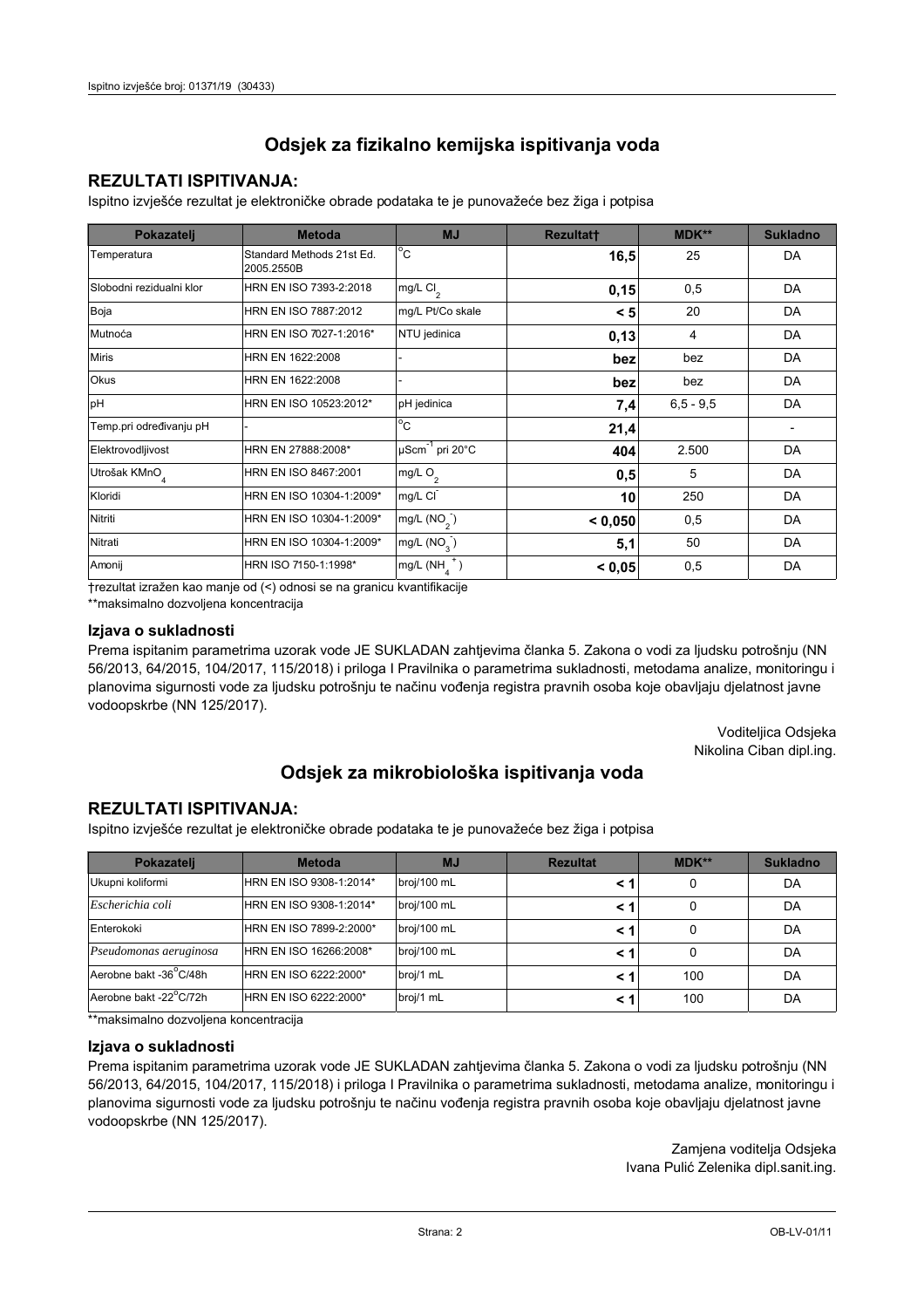### **REZULTATI ISPITIVANJA:**

Ispitno izviešće rezultat je elektroničke obrade podataka te je punovažeće bez žiga i potpisa

| Pokazatelj                | <b>Metoda</b>                           | <b>MJ</b>               | <b>Rezultatt</b> | <b>MDK**</b>  | <b>Sukladno</b> |
|---------------------------|-----------------------------------------|-------------------------|------------------|---------------|-----------------|
| Temperatura               | Standard Methods 21st Ed.<br>2005.2550B | $^{\circ}$ C            | 16,5             | 25            | DA              |
| Slobodni rezidualni klor  | HRN EN ISO 7393-2:2018                  | mg/L $Cl2$              | 0,15             | 0,5           | DA              |
| Boja                      | HRN EN ISO 7887:2012                    | mg/L Pt/Co skale        | < 5              | 20            | DA              |
| Mutnoća                   | HRN EN ISO 7027-1:2016*                 | NTU jedinica            | 0,13             | 4             | DA              |
| <b>Miris</b>              | HRN EN 1622:2008                        |                         | bez              | bez           | DA              |
| Okus                      | HRN EN 1622:2008                        |                         | bez              | bez           | DA              |
| pH                        | HRN EN ISO 10523:2012*                  | pH jedinica             | 7,4              | $6, 5 - 9, 5$ | DA              |
| Temp.pri određivanju pH   |                                         | $^{\circ}$ C            | 21,4             |               |                 |
| Elektrovodljivost         | HRN EN 27888:2008*                      | µScm-1 pri 20°C         | 404              | 2.500         | DA              |
| Utrošak KMnO <sub>4</sub> | HRN EN ISO 8467:2001                    | mg/L O <sub>2</sub>     | 0,5              | 5             | DA              |
| Kloridi                   | HRN EN ISO 10304-1:2009*                | mg/L CI                 | 10               | 250           | DA              |
| Nitriti                   | HRN EN ISO 10304-1:2009*                | mg/L (NO <sub>2</sub> ) | < 0.050          | 0,5           | DA              |
| Nitrati                   | HRN EN ISO 10304-1:2009*                | mg/L (NO <sub>3</sub> ) | 5,1              | 50            | DA              |
| Amonij                    | HRN ISO 7150-1:1998*                    | mg/L (NH                | < 0,05           | 0,5           | DA              |

trezultat izražen kao manje od (<) odnosi se na granicu kvantifikacije

\*\*maksimalno dozvoljena koncentracija

### Izjava o sukladnosti

Prema ispitanim parametrima uzorak vode JE SUKLADAN zahtievima članka 5. Zakona o vodi za ljudsku potrošnju (NN 56/2013, 64/2015, 104/2017, 115/2018) i priloga I Pravilnika o parametrima sukladnosti, metodama analize, monitoringu i planovima sigurnosti vode za ljudsku potrošnju te načinu vođenja registra pravnih osoba koje obavljaju djelatnost javne vodoopskrbe (NN 125/2017).

> Voditeljica Odsjeka Nikolina Ciban dipl.ing.

## Odsjek za mikrobiološka ispitivanja voda

### **REZULTATI ISPITIVANJA:**

Ispitno izvješće rezultat je elektroničke obrade podataka te je punovažeće bez žiga i potpisa

| Pokazatelj             | <b>Metoda</b>           | <b>MJ</b>   | <b>Rezultat</b> | <b>MDK**</b> | <b>Sukladno</b> |
|------------------------|-------------------------|-------------|-----------------|--------------|-----------------|
| Ukupni koliformi       | HRN EN ISO 9308-1:2014* | broj/100 mL |                 |              | DA              |
| Escherichia coli       | HRN EN ISO 9308-1:2014* | broj/100 mL | < 1             |              | DA              |
| Enterokoki             | HRN EN ISO 7899-2:2000* | broj/100 mL | < '             |              | DA              |
| Pseudomonas aeruginosa | HRN EN ISO 16266:2008*  | broj/100 mL | < 1             | 0            | DA              |
| Aerobne bakt -36°C/48h | HRN EN ISO 6222:2000*   | broj/1 mL   |                 | 100          | DA              |
| Aerobne bakt -22°C/72h | HRN EN ISO 6222:2000*   | broj/1 mL   | < 1             | 100          | DA              |

\*\*maksimalno dozvoljena koncentracija

### Izjava o sukladnosti

Prema ispitanim parametrima uzorak vode JE SUKLADAN zahtjevima članka 5. Zakona o vodi za ljudsku potrošnju (NN 56/2013, 64/2015, 104/2017, 115/2018) i priloga I Pravilnika o parametrima sukladnosti, metodama analize, monitoringu i planovima sigurnosti vode za ljudsku potrošnju te načinu vođenja registra pravnih osoba koje obavljaju djelatnost javne vodoopskrbe (NN 125/2017).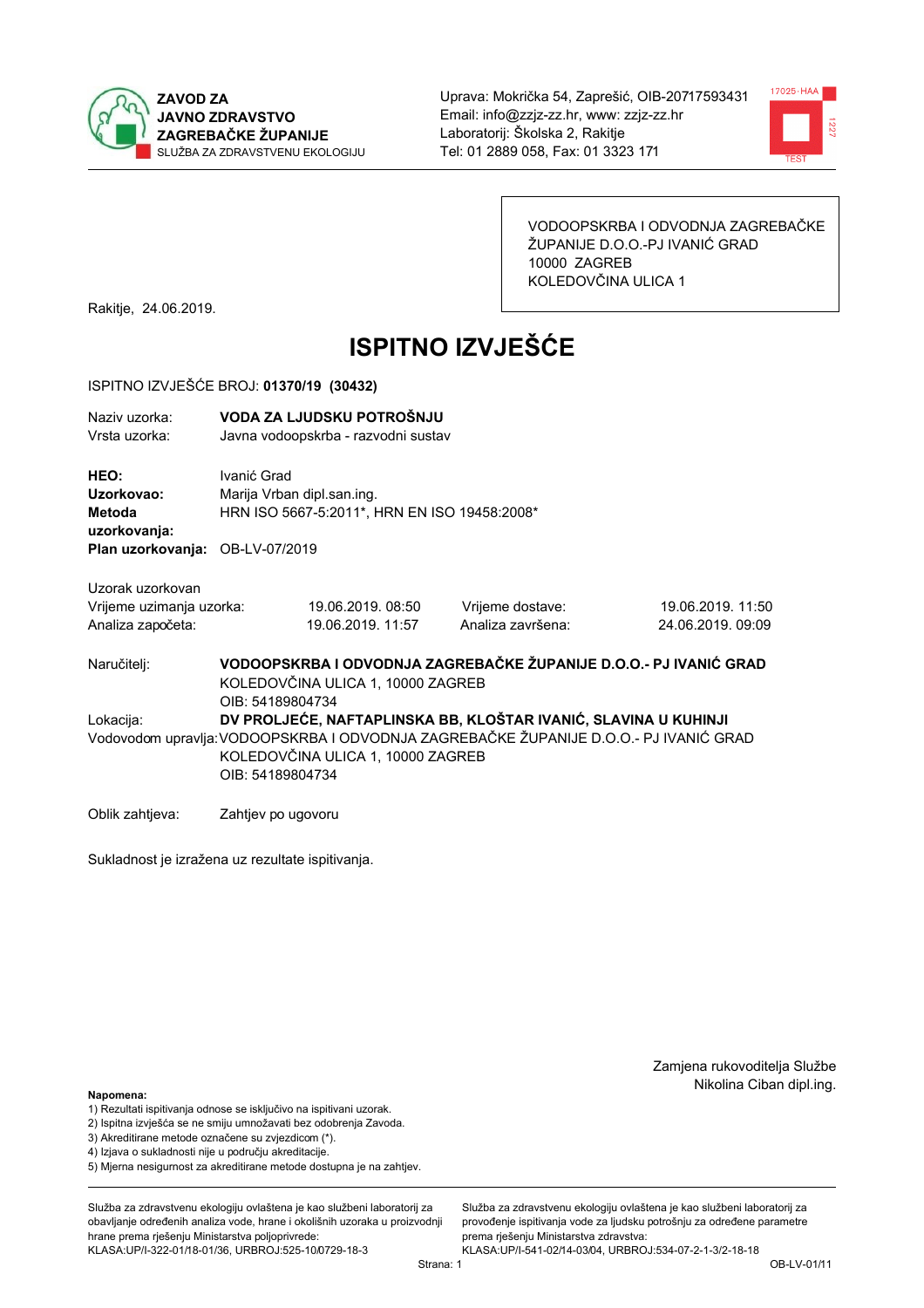



VODOOPSKRBA I ODVODNJA ZAGREBAČKE ŽUPANIJE D.O.O.-PJ IVANIĆ GRAD 10000 ZAGREB KOLEDOVČINA ULICA 1

Rakitje, 24.06.2019.

# **ISPITNO IZVJEŠĆE**

#### ISPITNO IZVJEŠĆE BROJ: 01370/19 (30432)

| Naziy uzorka:<br>Vrsta uzorka:                                                  |                                                                                                                                                                                                                   | VODA ZA LJUDSKU POTROŠNJU<br>Javna vodoopskrba - razvodni sustav           |                                       |                                                                   |  |  |
|---------------------------------------------------------------------------------|-------------------------------------------------------------------------------------------------------------------------------------------------------------------------------------------------------------------|----------------------------------------------------------------------------|---------------------------------------|-------------------------------------------------------------------|--|--|
| HEO:<br>Uzorkovao:<br>Metoda<br>uzorkovanja:<br>Plan uzorkovanja: OB-LV-07/2019 | Ivanić Grad                                                                                                                                                                                                       | Marija Vrban dipl.san.ing.<br>HRN ISO 5667-5:2011*, HRN EN ISO 19458:2008* |                                       |                                                                   |  |  |
| Uzorak uzorkovan                                                                |                                                                                                                                                                                                                   |                                                                            |                                       |                                                                   |  |  |
| Vrijeme uzimanja uzorka:<br>Analiza započeta:                                   |                                                                                                                                                                                                                   | 19.06.2019.08:50<br>19.06.2019. 11:57                                      | Vrijeme dostave:<br>Analiza završena: | 19.06.2019. 11:50<br>24.06.2019.09:09                             |  |  |
| Naručiteli:                                                                     | OIB: 54189804734                                                                                                                                                                                                  | KOLEDOVČINA ULICA 1, 10000 ZAGREB                                          |                                       | VODOOPSKRBA I ODVODNJA ZAGREBAČKE ŽUPANIJE D.O.O.- PJ IVANIĆ GRAD |  |  |
| Lokacija:                                                                       | DV PROLJEĆE, NAFTAPLINSKA BB, KLOŠTAR IVANIĆ, SLAVINA U KUHINJI<br>Vodovodom upravlja: VODOOPSKRBA I ODVODNJA ZAGREBAČKE ŽUPANIJE D.O.O.- PJ IVANIĆ GRAD<br>KOLEDOVČINA ULICA 1, 10000 ZAGREB<br>OIB: 54189804734 |                                                                            |                                       |                                                                   |  |  |
| Oblik zahtjeva:                                                                 | Zahtjev po ugovoru                                                                                                                                                                                                |                                                                            |                                       |                                                                   |  |  |

Sukladnost je izražena uz rezultate ispitivanja.

Zamjena rukovoditelja Službe Nikolina Ciban dipl.ing.

Napomena:

- 1) Rezultati ispitivanja odnose se isključivo na ispitivani uzorak.
- 2) Ispitna izvješća se ne smiju umnožavati bez odobrenja Zavoda.
- 3) Akreditirane metode označene su zvjezdicom (\*).
- 4) Iziava o sukladnosti nije u područiu akreditacije.
- 5) Mjerna nesigurnost za akreditirane metode dostupna je na zahtjev.

Služba za zdravstvenu ekologiju ovlaštena je kao službeni laboratorij za obavlianie određenih analiza vode, hrane i okolišnih uzoraka u proizvodniji hrane prema rješenju Ministarstva poljoprivrede: KLASA:UP/I-322-01/18-01/36, URBROJ:525-10/0729-18-3

Služba za zdravstvenu ekologiju ovlaštena je kao službeni laboratorij za provođenje ispitivanja vode za ljudsku potrošnju za određene parametre prema rješenju Ministarstva zdravstva:

KLASA:UP/I-541-02/14-03/04, URBROJ:534-07-2-1-3/2-18-18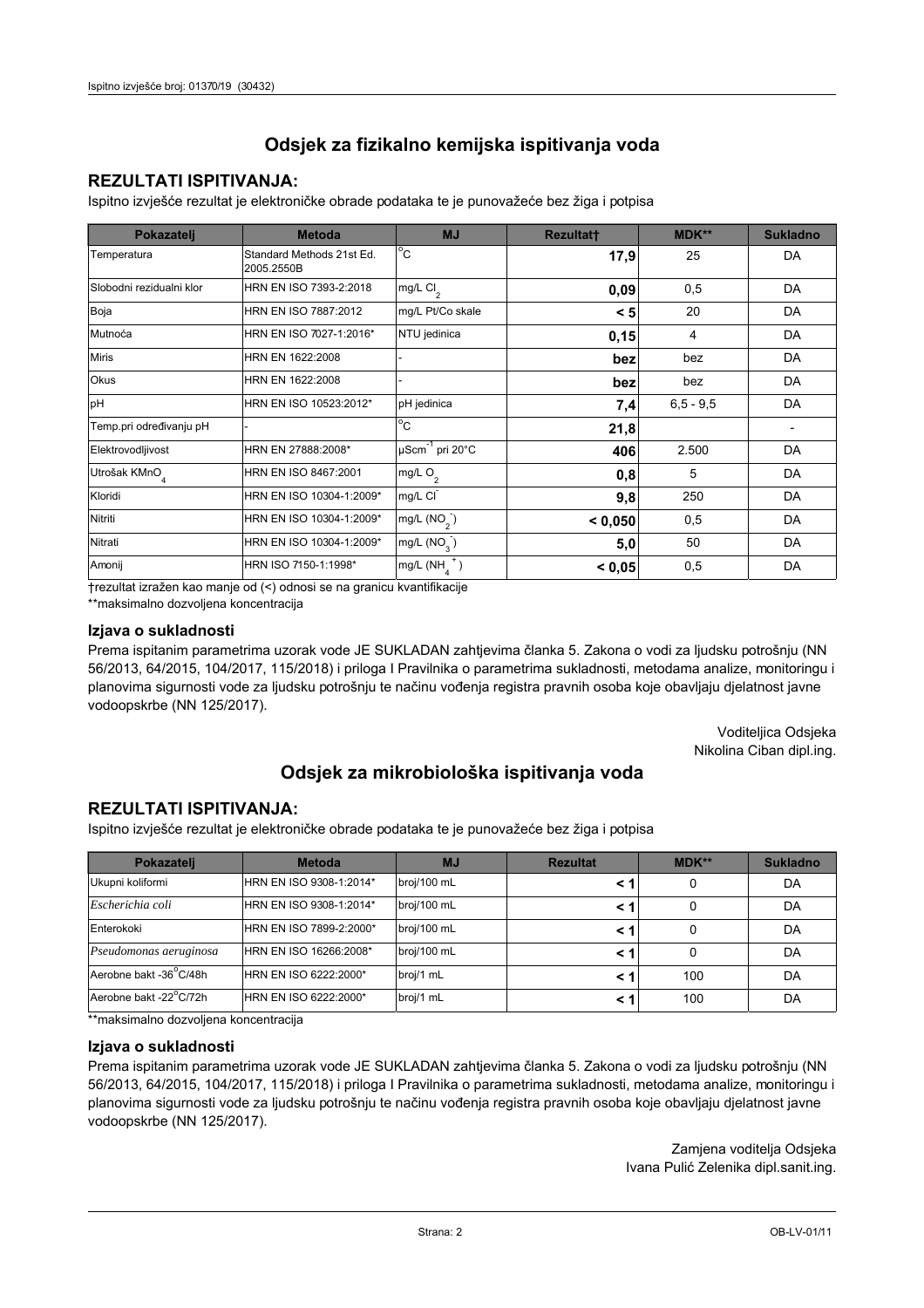### **REZULTATI ISPITIVANJA:**

Ispitno izviešće rezultat je elektroničke obrade podataka te je punovažeće bez žiga i potpisa

| Pokazatelj                | <b>Metoda</b>                           | <b>MJ</b>                   | <b>Rezultatt</b> | <b>MDK**</b>  | <b>Sukladno</b> |
|---------------------------|-----------------------------------------|-----------------------------|------------------|---------------|-----------------|
| Temperatura               | Standard Methods 21st Ed.<br>2005.2550B | $^{\circ}$ C                | 17,9             | 25            | DA              |
| Slobodni rezidualni klor  | HRN EN ISO 7393-2:2018                  | $mg/L$ Cl <sub>2</sub>      | 0,09             | 0,5           | <b>DA</b>       |
| Boja                      | HRN EN ISO 7887:2012                    | mg/L Pt/Co skale            | < 5              | 20            | DA              |
| Mutnoća                   | HRN EN ISO 7027-1:2016*                 | NTU jedinica                | 0,15             | 4             | DA              |
| <b>Miris</b>              | HRN EN 1622:2008                        |                             | bez              | bez           | DA              |
| Okus                      | HRN EN 1622:2008                        |                             | bez              | bez           | DA              |
| pH                        | HRN EN ISO 10523:2012*                  | pH jedinica                 | 7,4              | $6, 5 - 9, 5$ | DA              |
| Temp.pri određivanju pH   |                                         | $^{\circ}$ C                | 21,8             |               |                 |
| Elektrovodljivost         | HRN EN 27888:2008*                      | µScm <sup>-1</sup> pri 20°C | 406              | 2.500         | DA              |
| Utrošak KMnO <sub>4</sub> | HRN EN ISO 8467:2001                    | mg/L $O2$                   | 0,8              | 5             | DA              |
| Kloridi                   | HRN EN ISO 10304-1:2009*                | mg/L CI                     | 9,8              | 250           | DA              |
| Nitriti                   | HRN EN ISO 10304-1:2009*                | mg/L $(NO2)$                | < 0,050          | 0,5           | DA              |
| Nitrati                   | HRN EN ISO 10304-1:2009*                | mg/L $(NO_{3})$             | 5,0              | 50            | DA              |
| Amonij                    | HRN ISO 7150-1:1998*                    | mg/L (NH                    | < 0,05           | 0,5           | DA              |

trezultat izražen kao manje od (<) odnosi se na granicu kvantifikacije

\*\*maksimalno dozvoljena koncentracija

#### Izjava o sukladnosti

Prema ispitanim parametrima uzorak vode JE SUKLADAN zahtievima članka 5. Zakona o vodi za ljudsku potrošnju (NN 56/2013, 64/2015, 104/2017, 115/2018) i priloga I Pravilnika o parametrima sukladnosti, metodama analize, monitoringu i planovima sigurnosti vode za ljudsku potrošnju te načinu vođenja registra pravnih osoba koje obavljaju djelatnost javne vodoopskrbe (NN 125/2017).

> Voditeljica Odsjeka Nikolina Ciban dipl.ing.

## Odsjek za mikrobiološka ispitivanja voda

### **REZULTATI ISPITIVANJA:**

Ispitno izvješće rezultat je elektroničke obrade podataka te je punovažeće bez žiga i potpisa

| Pokazatelj             | <b>Metoda</b>           | <b>MJ</b>   | <b>Rezultat</b> | <b>MDK**</b> | <b>Sukladno</b> |
|------------------------|-------------------------|-------------|-----------------|--------------|-----------------|
| Ukupni koliformi       | HRN EN ISO 9308-1:2014* | broj/100 mL |                 |              | DA              |
| Escherichia coli       | HRN EN ISO 9308-1:2014* | broj/100 mL | < 1             |              | DA              |
| Enterokoki             | HRN EN ISO 7899-2:2000* | broj/100 mL | < '             |              | DA              |
| Pseudomonas aeruginosa | HRN EN ISO 16266:2008*  | broj/100 mL | < 1             | 0            | DA              |
| Aerobne bakt -36°C/48h | HRN EN ISO 6222:2000*   | broj/1 mL   |                 | 100          | DA              |
| Aerobne bakt -22°C/72h | HRN EN ISO 6222:2000*   | broj/1 mL   | < 1             | 100          | DA              |

\*\*maksimalno dozvoljena koncentracija

### Izjava o sukladnosti

Prema ispitanim parametrima uzorak vode JE SUKLADAN zahtjevima članka 5. Zakona o vodi za ljudsku potrošnju (NN 56/2013, 64/2015, 104/2017, 115/2018) i priloga I Pravilnika o parametrima sukladnosti, metodama analize, monitoringu i planovima sigurnosti vode za ljudsku potrošnju te načinu vođenja registra pravnih osoba koje obavljaju djelatnost javne vodoopskrbe (NN 125/2017).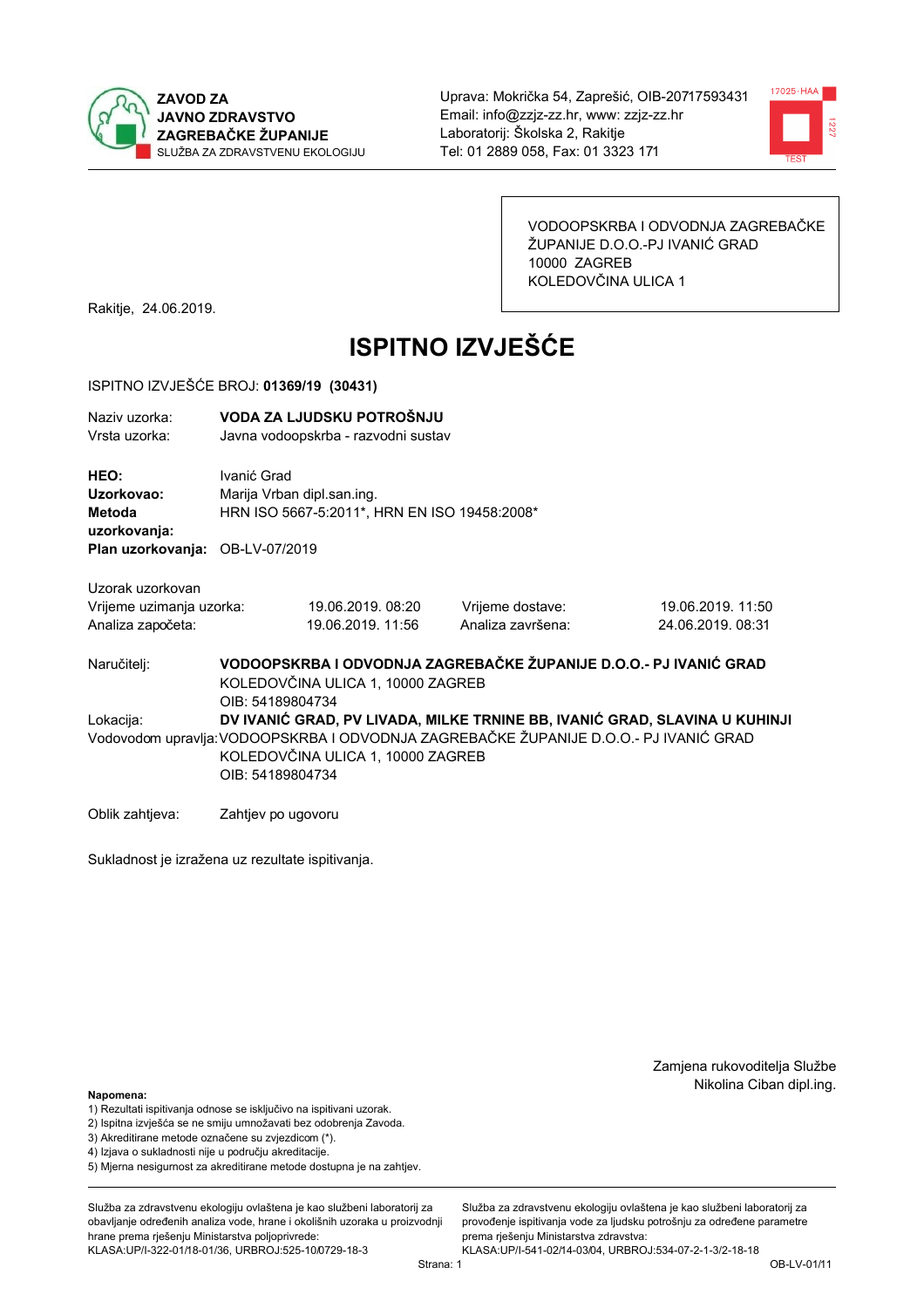



VODOOPSKRBA I ODVODNJA ZAGREBAČKE ŽUPANIJE D.O.O.-PJ IVANIĆ GRAD 10000 ZAGREB KOLEDOVČINA ULICA 1

Rakitje, 24.06.2019.

# **ISPITNO IZVJEŠĆE**

#### ISPITNO IZVJEŠĆE BROJ: 01369/19 (30431)

| Naziv uzorka:<br>Vrsta uzorka:                                                                                                                 | VODA ZA LJUDSKU POTROŠNJU<br>Javna vodoopskrba - razvodni sustav                                                           |                   |                   |                                                                            |  |
|------------------------------------------------------------------------------------------------------------------------------------------------|----------------------------------------------------------------------------------------------------------------------------|-------------------|-------------------|----------------------------------------------------------------------------|--|
| HEO:<br>Uzorkovao:<br>Metoda<br>uzorkovanja:                                                                                                   | Ivanić Grad<br>Marija Vrban dipl.san.ing.<br>HRN ISO 5667-5:2011*, HRN EN ISO 19458:2008*                                  |                   |                   |                                                                            |  |
| Plan uzorkovanja: OB-LV-07/2019                                                                                                                |                                                                                                                            |                   |                   |                                                                            |  |
| Uzorak uzorkovan                                                                                                                               |                                                                                                                            |                   |                   |                                                                            |  |
| Vrijeme uzimanja uzorka:                                                                                                                       |                                                                                                                            | 19.06.2019. 08:20 | Vrijeme dostave:  | 19.06.2019. 11:50                                                          |  |
| Analiza započeta:                                                                                                                              |                                                                                                                            | 19.06.2019. 11:56 | Analiza završena: | 24.06.2019. 08:31                                                          |  |
| Naručitelj:                                                                                                                                    | VODOOPSKRBA I ODVODNJA ZAGREBAČKE ŽUPANIJE D.O.O.- PJ IVANIĆ GRAD<br>KOLEDOVČINA ULICA 1, 10000 ZAGREB<br>OIB: 54189804734 |                   |                   |                                                                            |  |
| Lokacija:                                                                                                                                      |                                                                                                                            |                   |                   | DV IVANIĆ GRAD, PV LIVADA, MILKE TRNINE BB, IVANIĆ GRAD, SLAVINA U KUHINJI |  |
| Vodovodom upravlja: VODOOPSKRBA I ODVODNJA ZAGREBAČKE ŽUPANIJE D.O.O.- PJ IVANIĆ GRAD<br>KOLEDOVČINA ULICA 1, 10000 ZAGREB<br>OIB: 54189804734 |                                                                                                                            |                   |                   |                                                                            |  |
| Oblik zahtjeva:                                                                                                                                | Zahtjev po ugovoru                                                                                                         |                   |                   |                                                                            |  |

Sukladnost je izražena uz rezultate ispitivanja.

Zamjena rukovoditelja Službe Nikolina Ciban dipl.ing.

Napomena:

- 1) Rezultati ispitivanja odnose se isključivo na ispitivani uzorak.
- 2) Ispitna izvješća se ne smiju umnožavati bez odobrenja Zavoda.

3) Akreditirane metode označene su zvjezdicom (\*).

- 4) Iziava o sukladnosti nije u područiu akreditacije.
- 5) Mjerna nesigurnost za akreditirane metode dostupna je na zahtjev.

Služba za zdravstvenu ekologiju ovlaštena je kao službeni laboratorij za obavlianie određenih analiza vode, hrane i okolišnih uzoraka u proizvodniji hrane prema rješenju Ministarstva poljoprivrede:

KLASA:UP/I-322-01/18-01/36, URBROJ:525-10/0729-18-3

Služba za zdravstvenu ekologiju ovlaštena je kao službeni laboratorij za provođenie ispitivania vode za liudsku potrošniu za određene parametre prema rješenju Ministarstva zdravstva:

KLASA:UP/I-541-02/14-03/04, URBROJ:534-07-2-1-3/2-18-18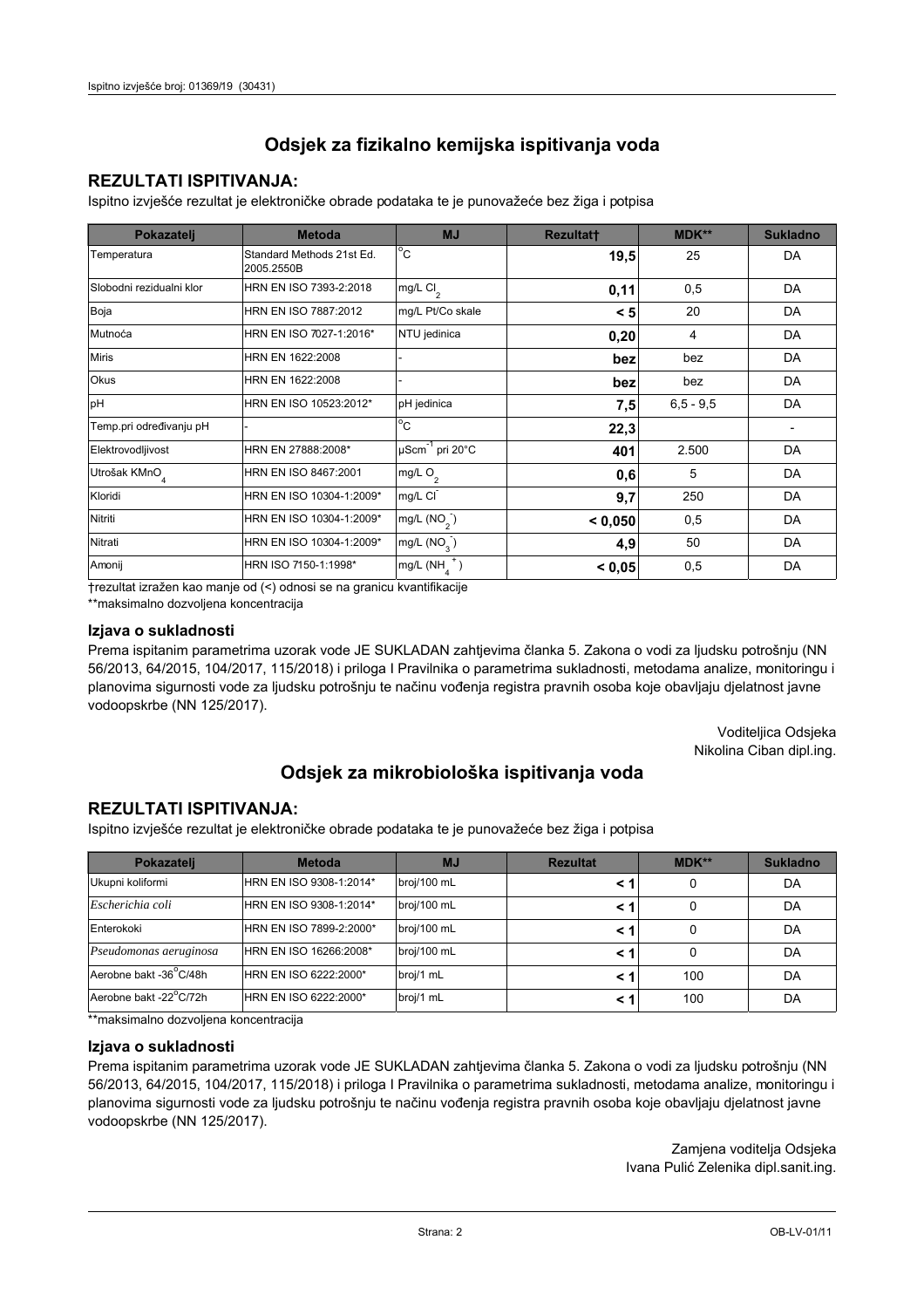### **REZULTATI ISPITIVANJA:**

Ispitno izviešće rezultat je elektroničke obrade podataka te je punovažeće bez žiga i potpisa

| Pokazatelj                | <b>Metoda</b>                           | <b>MJ</b>               | <b>Rezultatt</b> | <b>MDK**</b>  | <b>Sukladno</b> |
|---------------------------|-----------------------------------------|-------------------------|------------------|---------------|-----------------|
| Temperatura               | Standard Methods 21st Ed.<br>2005.2550B | $^{\circ}$ C            | 19,5             | 25            | DA              |
| Slobodni rezidualni klor  | HRN EN ISO 7393-2:2018                  | mg/L $Cl2$              | 0,11             | 0,5           | DA              |
| Boja                      | HRN EN ISO 7887:2012                    | mg/L Pt/Co skale        | < 5              | 20            | DA              |
| Mutnoća                   | HRN EN ISO 7027-1:2016*                 | NTU jedinica            | 0,20             | 4             | DA              |
| <b>Miris</b>              | HRN EN 1622:2008                        |                         | bez              | bez           | DA              |
| Okus                      | HRN EN 1622:2008                        |                         | bez              | bez           | DA              |
| pH                        | HRN EN ISO 10523:2012*                  | pH jedinica             | 7,5              | $6, 5 - 9, 5$ | DA              |
| Temp.pri određivanju pH   |                                         | $^{\circ}$ C            | 22,3             |               |                 |
| Elektrovodljivost         | HRN EN 27888:2008*                      | µScm-1 pri 20°C         | 401              | 2.500         | DA              |
| Utrošak KMnO <sub>4</sub> | HRN EN ISO 8467:2001                    | mg/L O <sub>2</sub>     | 0,6              | 5             | DA              |
| Kloridi                   | HRN EN ISO 10304-1:2009*                | mg/L CI                 | 9,7              | 250           | DA              |
| Nitriti                   | HRN EN ISO 10304-1:2009*                | mg/L (NO <sub>2</sub> ) | < 0.050          | 0,5           | DA              |
| Nitrati                   | HRN EN ISO 10304-1:2009*                | mg/L (NO <sub>3</sub> ) | 4,9              | 50            | DA              |
| Amonij                    | HRN ISO 7150-1:1998*                    | mg/L (NH                | < 0,05           | 0,5           | DA              |

trezultat izražen kao manje od (<) odnosi se na granicu kvantifikacije

\*\*maksimalno dozvoljena koncentracija

### Izjava o sukladnosti

Prema ispitanim parametrima uzorak vode JE SUKLADAN zahtievima članka 5. Zakona o vodi za ljudsku potrošnju (NN 56/2013, 64/2015, 104/2017, 115/2018) i priloga I Pravilnika o parametrima sukladnosti, metodama analize, monitoringu i planovima sigurnosti vode za ljudsku potrošnju te načinu vođenja registra pravnih osoba koje obavljaju djelatnost javne vodoopskrbe (NN 125/2017).

> Voditeljica Odsjeka Nikolina Ciban dipl.ing.

## Odsjek za mikrobiološka ispitivanja voda

### **REZULTATI ISPITIVANJA:**

Ispitno izvješće rezultat je elektroničke obrade podataka te je punovažeće bez žiga i potpisa

| Pokazatelj             | <b>Metoda</b>           | <b>MJ</b>   | <b>Rezultat</b> | <b>MDK**</b> | <b>Sukladno</b> |
|------------------------|-------------------------|-------------|-----------------|--------------|-----------------|
| Ukupni koliformi       | HRN EN ISO 9308-1:2014* | broj/100 mL |                 |              | DA              |
| Escherichia coli       | HRN EN ISO 9308-1:2014* | broj/100 mL | < 1             |              | DA              |
| Enterokoki             | HRN EN ISO 7899-2:2000* | broj/100 mL | < '             |              | DA              |
| Pseudomonas aeruginosa | HRN EN ISO 16266:2008*  | broj/100 mL | < 1             | 0            | DA              |
| Aerobne bakt -36°C/48h | HRN EN ISO 6222:2000*   | broj/1 mL   |                 | 100          | DA              |
| Aerobne bakt -22°C/72h | HRN EN ISO 6222:2000*   | broj/1 mL   | < 1             | 100          | DA              |

\*\*maksimalno dozvoljena koncentracija

### Izjava o sukladnosti

Prema ispitanim parametrima uzorak vode JE SUKLADAN zahtjevima članka 5. Zakona o vodi za ljudsku potrošnju (NN 56/2013, 64/2015, 104/2017, 115/2018) i priloga I Pravilnika o parametrima sukladnosti, metodama analize, monitoringu i planovima sigurnosti vode za ljudsku potrošnju te načinu vođenja registra pravnih osoba koje obavljaju djelatnost javne vodoopskrbe (NN 125/2017).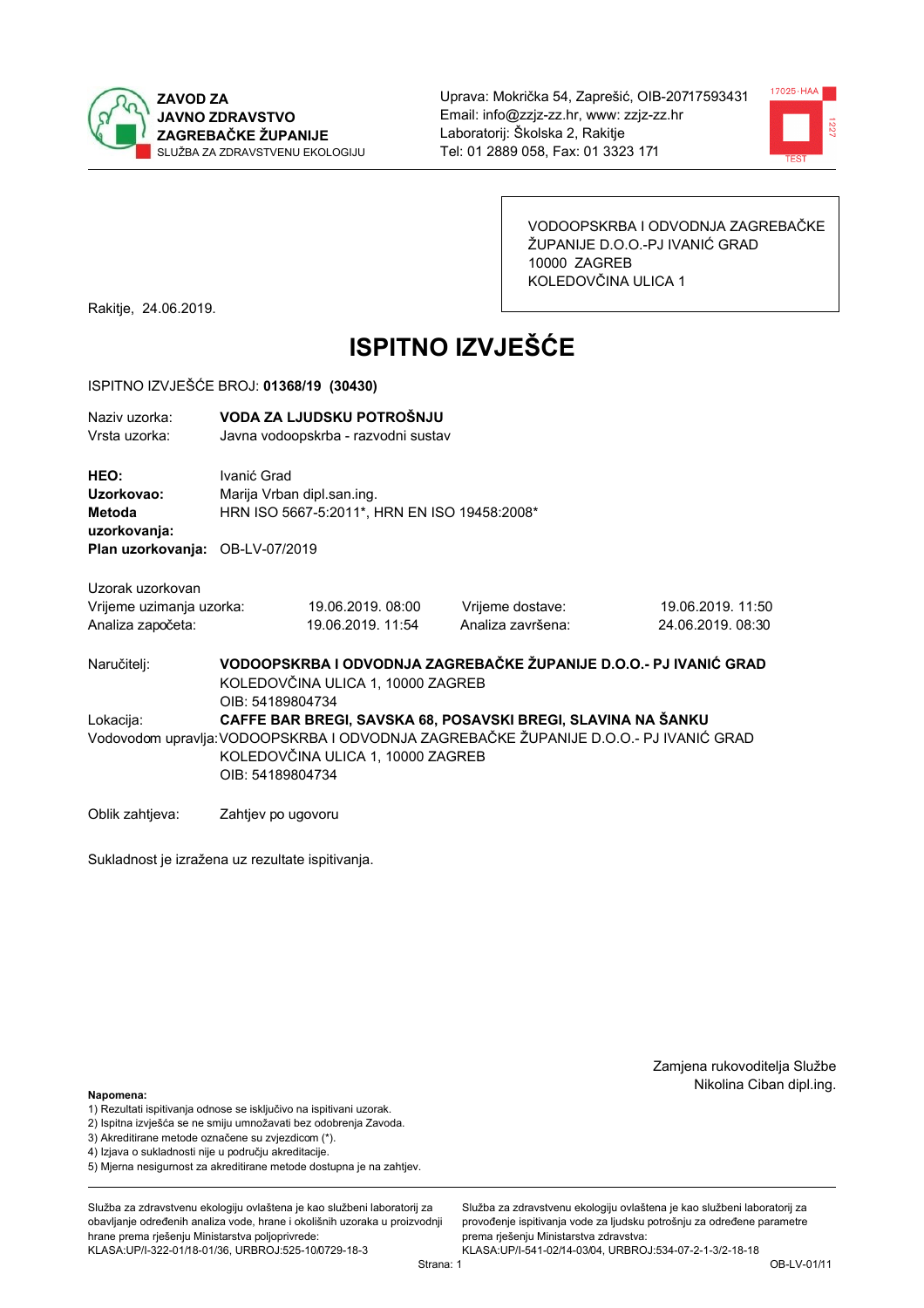



VODOOPSKRBA I ODVODNJA ZAGREBAČKE ŽUPANIJE D.O.O.-PJ IVANIĆ GRAD 10000 ZAGREB KOLEDOVČINA ULICA 1

Rakitje, 24.06.2019.

# **ISPITNO IZVJEŠĆE**

#### ISPITNO IZVJEŠĆE BROJ: 01368/19 (30430)

| Naziv uzorka:<br>Vrsta uzorka:                                                                                                                                                                                              | VODA ZA LJUDSKU POTROŠNJU<br>Javna vodoopskrba - razvodni sustav                                                           |                                       |                                       |                                       |  |
|-----------------------------------------------------------------------------------------------------------------------------------------------------------------------------------------------------------------------------|----------------------------------------------------------------------------------------------------------------------------|---------------------------------------|---------------------------------------|---------------------------------------|--|
| HEO:<br>Uzorkovao:<br><b>Metoda</b><br>uzorkovanja:<br>Plan uzorkovanja: OB-LV-07/2019                                                                                                                                      | Ivanić Grad<br>Marija Vrban dipl.san.ing.<br>HRN ISO 5667-5:2011*, HRN EN ISO 19458:2008*                                  |                                       |                                       |                                       |  |
| Uzorak uzorkovan<br>Vrijeme uzimanja uzorka:<br>Analiza započeta:                                                                                                                                                           |                                                                                                                            | 19.06.2019.08:00<br>19.06.2019. 11:54 | Vrijeme dostave:<br>Analiza završena: | 19.06.2019. 11:50<br>24.06.2019.08:30 |  |
| Naručitelj:                                                                                                                                                                                                                 | VODOOPSKRBA I ODVODNJA ZAGREBAČKE ŽUPANIJE D.O.O.- PJ IVANIĆ GRAD<br>KOLEDOVČINA ULICA 1, 10000 ZAGREB<br>OIB: 54189804734 |                                       |                                       |                                       |  |
| CAFFE BAR BREGI, SAVSKA 68, POSAVSKI BREGI, SLAVINA NA ŠANKU<br>Lokacija:<br>Vodovodom upravlja: VODOOPSKRBA I ODVODNJA ZAGREBAČKE ŽUPANIJE D.O.O.- PJ IVANIĆ GRAD<br>KOLEDOVČINA ULICA 1, 10000 ZAGREB<br>OIB: 54189804734 |                                                                                                                            |                                       |                                       |                                       |  |
| Oblik zahtjeva:                                                                                                                                                                                                             | Zahtjev po ugovoru                                                                                                         |                                       |                                       |                                       |  |

Sukladnost je izražena uz rezultate ispitivanja.

Zamjena rukovoditelja Službe Nikolina Ciban dipl.ing.

Napomena:

- 1) Rezultati ispitivanja odnose se isključivo na ispitivani uzorak.
- 2) Ispitna izvješća se ne smiju umnožavati bez odobrenja Zavoda.

3) Akreditirane metode označene su zvjezdicom (\*).

4) Iziava o sukladnosti nije u područiu akreditacije.

5) Mjerna nesigurnost za akreditirane metode dostupna je na zahtjev.

Služba za zdravstvenu ekologiju ovlaštena je kao službeni laboratorij za obavlianie određenih analiza vode, hrane i okolišnih uzoraka u proizvodniji hrane prema rješenju Ministarstva poljoprivrede: KLASA:UP/I-322-01/18-01/36, URBROJ:525-10/0729-18-3

Služba za zdravstvenu ekologiju ovlaštena je kao službeni laboratorij za provođenje ispitivanja vode za ljudsku potrošnju za određene parametre prema rješenju Ministarstva zdravstva:

KLASA:UP/I-541-02/14-03/04, URBROJ:534-07-2-1-3/2-18-18 Strana: 1